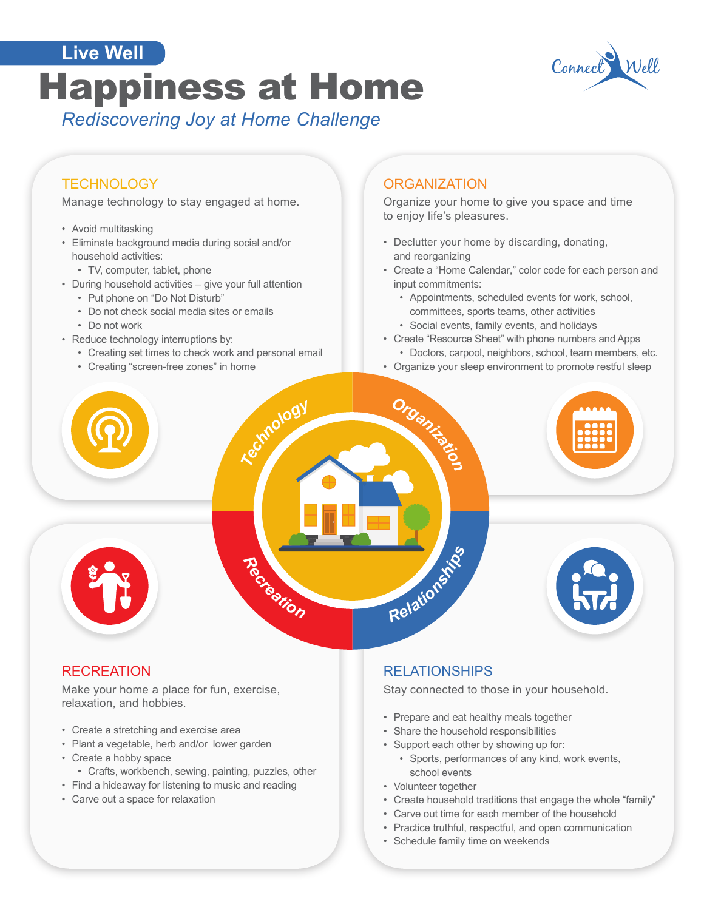# **Happiness at Home** Connect **Live Well**



## *Rediscovering Joy at Home Challenge*

#### **TECHNOLOGY**

Manage technology to stay engaged at home.

- Avoid multitasking
- Eliminate background media during social and/or household activities:
	- TV, computer, tablet, phone
- During household activities give your full attention
	- Put phone on "Do Not Disturb"
	- Do not check social media sites or emails
	- Do not work
- Reduce technology interruptions by:
	- Creating set times to check work and personal email
	- Creating "screen-free zones" in home

#### **ORGANIZATION**

Organize your home to give you space and time to enjoy life's pleasures.

- Declutter your home by discarding, donating, and reorganizing
- Create a "Home Calendar," color code for each person and input commitments:
	- Appointments, scheduled events for work, school, committees, sports teams, other activities • Social events, family events, and holidays
- Create "Resource Sheet" with phone numbers and Apps
- Doctors, carpool, neighbors, school, team members, etc.
- Organize your sleep environment to promote restful sleep



#### **RECREATION**

Make your home a place for fun, exercise, relaxation, and hobbies.

- Create a stretching and exercise area
- Plant a vegetable, herb and/or lower garden
- Create a hobby space
- Crafts, workbench, sewing, painting, puzzles, other
- Find a hideaway for listening to music and reading
- Carve out a space for relaxation

#### RELATIONSHIPS

Stay connected to those in your household.

- Prepare and eat healthy meals together
- Share the household responsibilities
- Support each other by showing up for:
	- Sports, performances of any kind, work events, school events
- Volunteer together
- Create household traditions that engage the whole "family"
- Carve out time for each member of the household
- Practice truthful, respectful, and open communication
- Schedule family time on weekends